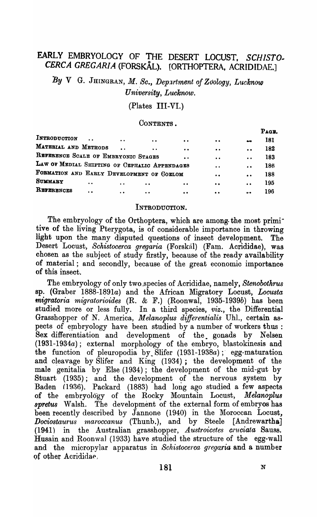# EARLY EMBRYOLOGY OF THE DESERT LOCUST, SCHISTO-<br>CERCA GREGARIA (FORSKÅL). [ORTHOPTERA, ACRIDIDAE.]

*By* V G. JHINGRAN, *M .. Sc., Depxrtment of Zoology, Lucknow*   $University, Lucknow.$ 

(Plates III-VI.)

## CONTENTS.

|                                               |                      |           |                  |                  |                       | Раси. |
|-----------------------------------------------|----------------------|-----------|------------------|------------------|-----------------------|-------|
| INTRODUCTION<br>$\ddot{\phantom{a}}$          | $\ddot{\phantom{a}}$ | $\bullet$ | $\bullet\bullet$ | $\bullet$        | $\mathbf{a}$          | 181   |
| MATERIAL AND METHODS                          | $\ddot{\phantom{a}}$ | $\bullet$ | $\bullet$        | $\bullet$        | $\ddot{\phantom{a}}$  | 182   |
| REFERENCE SCALE OF EMBRYONIC STAGES           |                      |           | $\bullet$        | $\bullet$        | $\bullet$             | 183   |
| LAW OF MEDIAL SHIFTING OF CEPHALIC APPENDAGES |                      |           |                  | $\bullet$        | $\bullet$             | 186   |
| FORMATION AND EARLY DEVELOPMENT OF GOELOM     |                      |           |                  | $\bullet$        | $\bullet$             | 188   |
| <b>SUMMARY</b><br>$\ddot{\phantom{a}}$        | $\ddot{\phantom{a}}$ | $\bullet$ | $\bullet\bullet$ | $\bullet\bullet$ | $\bullet$             | 195   |
| REFERENCES<br>$\bullet$                       | $\ddot{\phantom{a}}$ | $\bullet$ | $\bullet$        | $\bullet\bullet$ | $\bullet\cdot\bullet$ | 196   |
|                                               |                      |           |                  |                  |                       |       |

#### INTRODUCTION.

The embryology of the Orthoptera, which are among the most primitive of the living Pterygota, is of considerable importance in throwing light upon the many disputed questions of insect development. The Desert Locust, *Schistocefca gregaria* (Forskal) (Fam. Acrididae), was chosen as the subject of study firstly, because of the ready availability of material; and secondly, because of the great economic importance of this insect.

The embryology of only two-species of Acrididae, namely, *Stenobothrus*  Bp. (Graber *1888-1891a)* and the African Migratory Locust, *Locusta migratoria migratorioides* (R. & F.) (Roonwal, *1935-1939b)* has been studied more or less fully. In a third species, *viz.*, the Differential Grasshopper of N. America, Melanoplus differentialis Uhl., certain aspects of embryology have been studied by a number of workers thus : Sex differentiation and development of the. gonads by Nelsen *(1931-1934a);* external morphology of the embryo, blastokinesis and the function of pleuropodia by Slifer (1931-1938a); egg-maturation and cleavage by Slifer and King (1934); the development of the male genitalia by Else (1934); the development of the mid-gut by Stuart  $(1935)$ ; and the development of the nervous system by Baden (1936). Packard (1883) had long ago studied a few aspects of the embryology of the Rocky Mountain Locust, *Melanoplus*  spretus Walsh. The development of the external form of embryos has been recently described by Jannone (1940) in the Moroccan Locust, *Dociostaurus maroccanus* (Thunb.), and by Steele [Andrewartha] (1941) in the Australian grasshopper, *Austroicetes cruciala* Sauss. Husain and Roonwal (1933). have studied the structure of the egg-wall and the micropylar apparatus in *Schistocerca gregaria* and a number of other Acridida~,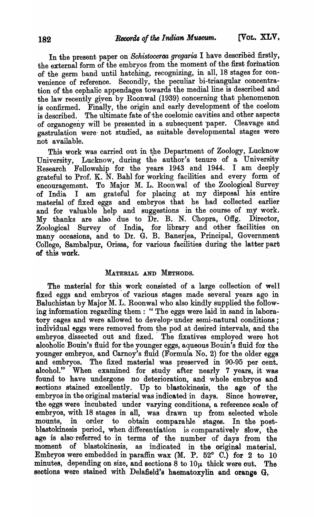In the present paper on *Schistoceroa gregaria* I have described firstly, the external form of the embryos from the moment of the first formation of the germ band until hatching, recognizing, in all, 18 stages for convenience of reference. Secondly, the peculiar bi-triangular concentration of the cephalic appendages towards the medial line is described and the law recently giyen by Roonwal (1939) concerning that phenomenon is confirmed. Finally, the origin and early development of the coelom is described. The ultimate fate of the coelomic cavities and other aspects of organogeny will be presented in a subsequent paper. Cleavage and gastrulation were' not studied, as suitable developmental stages were not available.

This work was carried out in the Department of Zoology, Lucknow University, Lucknow, during the author's tenure of a University Research Fellowship for the years 1943 and 1944. I am deeply grateful to Prof. K.  $\bar{N}$ . Bahl for working facilities and every form of encouragement. To Major M. L. Roonwal of the Zoological Survey of India I am grateful for placing at my disposal his entire material of fixed eggs and embryos that he had collected earlier and for valuable help and suggestions in the course of my work. My thanks are also due to Dr. B. N. Chopra, Offg. Director, Zoological Survey of India, for library and other facilities on many occasions, and to Dr. G. B. Banerjea, Principal, Government College, Sambalpur, Orissa, for various facilities during the latter part of this work.

### MATERIAL AND METHODS.

The material for this work consisted of a large collection of well fixed eggs and embryos' of various stages made several years ago in Baluchistan by Major M. L. Roonwal who also kindly supplied the following information regarding them: "The eggs were laid in sand in laboratory cages and were allowed to develop· under semi-natural conditions; individual eggs were removed from the pod at desired intervals, and the embryos, dissected out and fixed. The fixatives employed were hot alcoholic Bouin's fluid for the younger eggs, aqueous Bouin's fluid for the younger embryos, and Carnoy's fluid (Formula No.2) for the older eggs and embryos. The fixed material was preserved in 90-95 per cent. alcohol." When examined for study after nearly 7 years, it was found to have undergone no deterioration, and whole embryos and sections stained excellently. Up to blastokinesis, the age of the embryos in the original material was indicated in days. Since however, the eggs were incubated under varying conditions, a reference scale of embryos, with 18 stages in all, was drawn up from selected whole mounts, in order to obtain comparable stages. In the postblastokinesis period, when differentiation is comparatively slow, the age is also referred to in terms of the number of days from the moment of blastokinesis, as indicated in the original material. Embryos were embedded in paraffin wax (M. P. 52 $^{\circ}$  C.) for 2 to 10 minutes, depending on size, and sections 8 to  $10\mu$  thick were out. The sections were stained with Delafield's haematoxylin and orange G,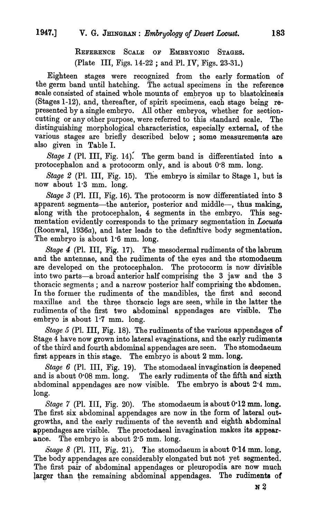REFERENCE SCALE OF EMBRYONIC STAGES. (Plate III, Figs. 14-22 ; and PI. JV; Figs. 23-31.)

Eighteen stages were recognized from the early formation of the germ band until hatching. The actual specimens in the reference scale consisted of stained whole mounts of embryos up to blastokinesis (Stages 1-12), and, thereafter, of spirit specimens, each stage being represented by a single embryo. All other embryos, whether for sectioncutting or any other purpose, were referred to this standard scale. The distinguishing morphological characteristics, especially external, of the various stages are briefly described below; some measurements are also given in Table I.

*Stage 1* (Pl. III, Fig. 14). The germ band is differentiated into a protocephalon and a protocorm only, and is about 0'8 mm. long.

*Stage* 2 (PI. III, Fig. 15). The embryo is similar to Stage 1, but is now about 1'3 mm. long.

*Stage* 3 (PI. III, Fig. 16). The protocorm is now differentiated into 8 apparent segments-the anterior, posterior and middle-, thus making, along with the protocephalon, 4 segments in the embryo. This segmentation evidently corresponds to the primary segmentation in *Locusta* (Roonwal, *1936a),* and later leads to the definitive body segmentation. The embryo is about 1.6 mm. long.

*Stage* 4 (PI. III, Fig. 17). The mesodermal rudiments of the labrum and the antennae, and the rudiments of the eyes and the stomodaeum are developed on the protocephalon. The protocorm is now divisible into two parts-a broad anterior half comprising the 3 jaw and the 3 thoracic segments; and a narrow posterior half comprising the abdomen. In the former the rudiments of the mandibles, the first and second maxillae and the three thoracio legs are seen, while in the latter the rudiments of the first two abdominal appendages are visible. The embryo is about  $1.7$  mm. long.

*Stage* 5 (PI. III, Fig. 18). The rudiments of the various appendages of Stage 4 have now grown into lateral evaginations, and the early rudiments of the third and fourth abdominal appendages are seen. The stomodaeum first appears in this stage. The embryo is about 2 mm. long.

*Stage* 6 (PI. III, Fig. 19). The stomodaeal invagination is deepened and is about  $0.08$  mm. long. The early rudiments of the fifth and sixth abdominal appendages are now visible. The embryo is about  $2.4 \text{ mm}$ . long.

*Stage* 7 (PI. III, Fig. 20). The stomodaeum is about 0·12 mm. long. The first six abdominal appendages are now in the form of lateral outgrowths, and the early rudiments of the seventh and eighth abdominal appendages are visible. The proctodaeal invagination makes its appearance. The embryo is about 2·5 mm. long.

 $\tilde{S} \text{age } 8$  (Pl. III, Fig. 21). The stomodaeum is about 0.14 mm. long. The body appendages are considerably elongated but not yet segmented. The first pair of abdominal appendages or pleuropodia are now much larger than the remaining abdominal appendages. The rudiments of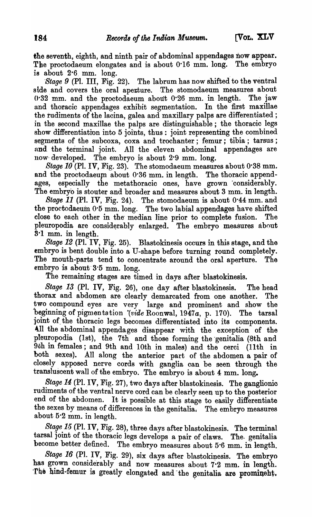the seventh, eighth, and ninth pair of abdominal appendages now appear. The proctodaeum elongates and is about 0'16 mm. long. The embryo is about  $2.6$  mm. long.

*'Stage* 9 (Pl. III, Fig. 22). The labrum has now shifted to the ventral side and covers the oral aperture. The stomodaeum measures about 0'32· mm. and the proctodaeum about 0'26 mm. in length. The jaw and thoracic appendages exhibit segmentation. In the first maxillae the rudiments of the lacina, galea and maxillary palps are differentiated; in the second maxillae the palps are distinguishable; the thoracic legs show differentiation into 5 joints, thus: joint representing the combined segments of the subcoxa, coxa and trochanter; femur; tibia; tarsus; and. the terminal joint. All the eleven abdominal appendages are now· developed. The embryo is about 2'9 mm. long.

*Stage 10* (PI. IV, Fig. 23). The stomodaeum measures about 0'38 mm. and the proctodaeum about  $0.36$  mm. in length. The thoracic appendages, especially the metathoracic ones, have grown considerably. The embryo is stouter and broader and measures about 3 mm. in length.

*Stage* 11 (PI. IV, Fig. 24). The stomodaeum is about 0'44 mm. and the proctodaeum 0'5 mm. long. The two labial appendages have shifted close to each other in the median line prior to complete fusion. The pleuropodia are considerably enlarged. The embryo measures about S-l mm. in length.

*Stage* 12 (PI. IV, Fig. 25). Blastokinesis occurs in this stage, and the embryo is bent double into a U-shape before turning round completely. The mouth-parts tend to concentrate around the oral aperture. The embryo is about 3.5 mm. long.

The remaining stages are timed in days after blastokinesis.

*Stage* 13 (PI. IV, Fig. 26), one day after blastokinesis. The head thorax and abdomen are clearly demarcated from one another. The two compound eyes are very large and prominent and show the beginning of pigmen ta tion (*vide* Roonwal, 1947a, p. 170). The tarsal joint of. the thoracic legs becomes differentiated into its components. 4.11 the abdominal appendages disappear with the exception of the pleuropodia (1st), the 7th and those forming the genitalia (8th and 9th in females; and 9th and 10th in males) and the cerci (11th in both sexes). All along the anterior part of the abdomen a pair of closely apposed nerve cords with ganglia can be seen through the transluscent wall of the embryo. The embryo is about 4 mm. long.

*Stage 14* (Pl. IV, Fig. 27), two days after blastokinesis. The ganglionic rudiments of the ventral nerve cord can be clearly seen up to the posterior end of the abdomen. It is possible at this stage to easily differentiate the sexes by means of differences in the genitalia. The embryo measures about 5-2 mm. in length.

*Stage* 15 (PI. IV, Fig. 28), three days after blastokinesis. The terminal tarsal joint of the thoracic legs develops a pair of claws. The genitalia<br>become better defined. The embryo measures about 5.6 mm. in length The embryo measures about 5.6 mm. in length.

*Stage 16* (Pl. IV, Fig. 29), six days after blastokinesis. The embryo has grown considerably and now measures about 7.2 mm. in length. The hind-femur is greatly elongated and the genitalia are prominent.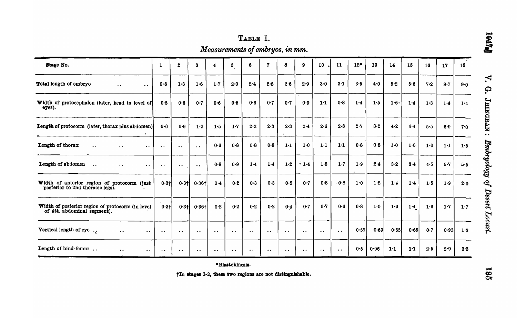| Measurements of embryos, in mm.                                                 |                      |                      |                                              |                  |           |                      |            |                      |                      |                      |                      |         |       |       |       |     |       |     |
|---------------------------------------------------------------------------------|----------------------|----------------------|----------------------------------------------|------------------|-----------|----------------------|------------|----------------------|----------------------|----------------------|----------------------|---------|-------|-------|-------|-----|-------|-----|
| <b>Stage No.</b>                                                                | 1                    | $\mathbf{2}$         | 3                                            | 4                | 5         | 6                    | ל          | 8                    | ۰                    | 10                   | 11                   | $12*$   | 13    | 14    | 15    | 16  | 17    | 18  |
| Total length of embryo<br>$\ddot{\phantom{0}}$<br>$\ddot{\phantom{a}}$          | 0.8                  | 1.3                  | 1·6                                          | $1-7$            | 2.0       | 2.4                  | $2 - 5$    | 2.6                  | 2.9                  | $3-0$                | 3.1                  | $3-5$   | 4.0   | $5-2$ | 5.6   | 7.2 | $8-7$ | 9.0 |
| Width of protocephalon (later, head in level of<br>eyes).                       | 0.5                  | $0 - 6$              | 0.7                                          | 0.6              | 0.5       | 0.6                  | $0 - 7$    | 0.7                  | 0.9                  | 1·1                  | $0 - 8$              | 1.4     | 1.5   | 1.6   | 1.4   | 1.3 | 1.4   | 1.4 |
| Length of protocorm (later, thorax plus abdomen)                                | 0.6                  | 0.9                  | 1.2                                          | 1.5              | 1.7       | 2.2                  | $2\cdot 3$ | $2 - 3$              | 2.4                  | 2.6                  | 2.8                  | 2.7     | $3-2$ | 4.2   | 4.4   | 5.5 | 6.9   | 7.0 |
| Length of thorax<br>. .<br>$\cdot$ .                                            | $\ddot{\phantom{a}}$ | $\bullet$ .          | $\ddot{\phantom{0}}$                         | 0.6              | $0 - 8$   | 0.8                  | $0 - 8$    | 1·1                  | $1-0$                | 1·1                  | 1 <sup>1</sup>       | $0 - 8$ | 0.8   | 1.0   | 1.0   | 1.0 | 1·1   | 1.5 |
| Length of abdomen<br>$\ddotsc$<br>$\cdot$ $\cdot$<br>$\bullet$ .                | $\bullet$ $\bullet$  | $\bullet\,\bullet$   | $\bullet\hspace{0.4mm}\bullet\hspace{0.4mm}$ | $0 - 8$          | 0.9       | 1.4                  | 1.4        | 1·2                  | .14                  | $1 - 5$              | $1.7$                | 1.9     | 2.4   | $3-2$ | 3.4   | 4.5 | $5-7$ | 5.5 |
| Width of anterior region of protocorm (just<br>posterior to 2nd thoracic legs). | $0.3 +$              | $0.3 +$              | 0.361                                        | 0.4              | 0.2       | 0.3                  | $0-3$      | 0.5                  | 0.7                  | $0 - 8$              | 0.8                  | $1-0$   | 1·2   | 1.4   | 1.4   | 1.5 | 1.9   | 2.0 |
| Width of posterior region of protocorm (in level<br>of 4th abdominal segment).  | $0.3 +$              | $0.3 +$              | $0.36 +$                                     | 0.2              | $0-2$     | 0.2                  | $0 - 2$    | 0.4                  | 0.7                  | 0.7                  | 0.6                  | 0.8     | 1.0   | 1.6   | 1.4   | 1.6 | 1.7   | 1.7 |
| Vertical length of eye<br>. .<br>. .                                            | . .                  | $\ddot{\phantom{a}}$ | $\bullet$ $\bullet$                          | $\bullet\bullet$ | $\cdot$ . | $\bullet$ $\bullet$  | . .        | $\ddot{\phantom{a}}$ | $\ddot{\phantom{0}}$ | $\bullet$ $\bullet$  | $\ddot{\phantom{a}}$ | 0.57    | 0.63  | 0.65  | 0.65  | 0.7 | 0.95  | 1.3 |
| Length of hind-femur.                                                           |                      |                      |                                              |                  | . .       | $\ddot{\phantom{1}}$ | . .        |                      | $\ddot{\phantom{a}}$ | $\ddot{\phantom{a}}$ | $\ddot{\phantom{a}}$ | 0.5     | 0.96  | 1·1   | $1-1$ | 2.5 | 2.9   | 3.3 |

\*Blastokinesis.

tIn stages 1-3, these two regions are not distinguishable.

 $\mathbf{z}$ G. JEINGRAN: Embryology of Desert Locust.

**Leata** 

185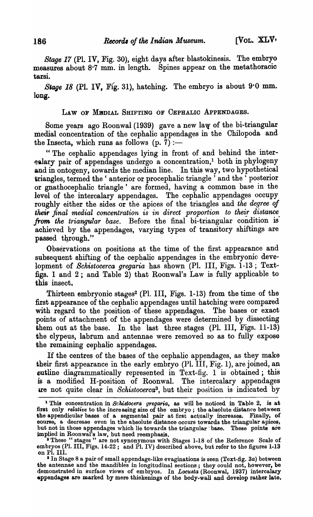*Stage* 17 (Pl. IV, Fig. 30), eight days after blastokinesis. The embryo measures about 8·7 mm. in length. Spines appear on the metathoracic tarsi.

*Stage 18 (Pl. IV. Fig. 31), hatching. The embryo is about 9.0 mm.* long.

#### LAW OF MEDIAL SHIFTING OF CEPHALIC APPENDAGES.

Some years ago Roonwal (1939) gave a new law of the bi-triangular medial concentration of the cephalic appendages in the Chilopoda and the Insecta, which runs as follows  $(p, 7)$  :-

"The cephalic appendages lying in front of and behind the inter- ~9.lary pair of appendages undergo a concentration,! both in phylogeny and in ontogeny, towards the median line. In this way, two hypothetical triangles, termed the 'anterior or procephalic triangle' and the 'posterior or gnathocephalic triangle' are formed, having a common base in the level of the intercalary appendages. The cephalic appendages occupy roughly either the sides or the apices of the triangles and *the degree of their final medial concentration is in direct proportion to their distance. from the triangular base.* Before the final bi-triangular condition is achieved by the appendages, varying types of transitory shiftings are passed through."

Observations on positions at the time of the first appearance and subsequent shifting of the cephalic appendages in the embryonic deve lopment of *Schistocerca gregaria* has shown (Pl. III, Figs. 1-13; Textfigs. 1 and 2; and Table 2) that Roonwal's Law is fully applicable to this insect.

Thirteen embryonic stages<sup>2</sup> (Pl. III, Figs. 1-13) from the time of the first appearance of the cephalic appendages until hatching were compared with regard to the position of these appendages. The bases or exact points of attachment of the appendages were determined by dissecting them out at the base. In the last three stages (Pl. III, Figs.  $11-13$ ) the clypeus, labrum and antennae were removed so as to fully expose the remaining cephalic appendages.

If the centres of the bases of the cephalic appendages, as they make their first appearance in the early embryo  $(Pl. \overline{III}, \overline{Fig. 1})$ , are joined, an outline diagrammatically represented in Text-fig. 1 is obtained; this is a modified H-position of Roonwal. The intercalary appendages ue not quite clear in *Schistocerca3,* but their position is indicated by

<sup>1</sup> This oonoentration in *Schistocera gregaria,* as will be noticed in Table 2, is at first only *relative* to the increasing size of the embryo; the absolute distance betweenthe appendioular bases of a segmental pair at first actually increases. Finally, of course, a deorease even in the absolute distance ocours towards the triangular apices, but not in those appendages which lie towards the triangular base. These points are implied in Roonwal<sup>1</sup>s law, but need reemphasis.

<sup>&</sup>lt;sup>2</sup> These " stages " are not synonymous with Stages 1-18 of the Reference Scale of embryos (Pl. III, Figs. 14-22; and Pl. IV) described above, but refer to the figures 1-13 on PI. III.

<sup>&</sup>lt;sup>3</sup> In Stage 8 a pair of small appendage-like evaginations is seen (Text-fig. 3a) between the antennae and the mandibles in longitudinal seotions; they could not, however, be demonstrated in surface views of embryos. In *Locusta* (Roonwal, 1937) intercalary .ppandagas are marked by mere thiokenings of the body-wall and develop rather late.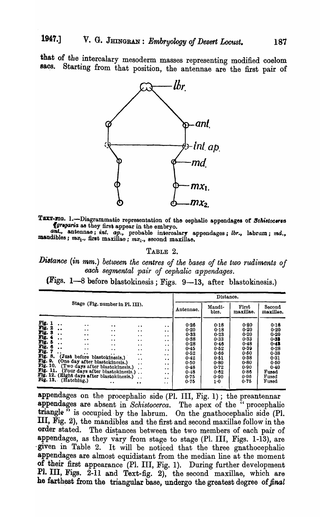that of the intercalary mesoderm masses representing modified coelom<br>sacs. Starting from that position the antenne are the fact pair of Starting from that position, the antennae are the first pair of



TEXT-HIG. 1.-Diagrammatio representation of the cephalic appendages of Schistocerea *{grtgaria* as they firs, a.ppear in the embryo.

ant., antennae; *int. ap.*, probable intercalary appendages; *lbr.*, labrum; *md.*, **man**dibles;  $mx_1$ ., first maxillae;  $mx_2$ ., second maxillae.

## TABLE 2.

**Distance (in mm.)** between the centres of the bases of the two rudiments of each segmental pair of cephalic appendages.

(Figs. 1-8 before blastokinesis; Figs. 9-13, after blastokinesis.)

|                                                                                                                                                                                                                                        |                                                                                                                                                                                                                                                                                                                         |                                                                                                                    |                                                                                                                                                                                                      |                                                                                                                                                                                                                              |                                                                                                      | Distance.                                                                                           |                                                                                                      |                                                                                                                 |
|----------------------------------------------------------------------------------------------------------------------------------------------------------------------------------------------------------------------------------------|-------------------------------------------------------------------------------------------------------------------------------------------------------------------------------------------------------------------------------------------------------------------------------------------------------------------------|--------------------------------------------------------------------------------------------------------------------|------------------------------------------------------------------------------------------------------------------------------------------------------------------------------------------------------|------------------------------------------------------------------------------------------------------------------------------------------------------------------------------------------------------------------------------|------------------------------------------------------------------------------------------------------|-----------------------------------------------------------------------------------------------------|------------------------------------------------------------------------------------------------------|-----------------------------------------------------------------------------------------------------------------|
|                                                                                                                                                                                                                                        | Stage (Fig. number in Pl. III).                                                                                                                                                                                                                                                                                         |                                                                                                                    |                                                                                                                                                                                                      |                                                                                                                                                                                                                              | Antennae.                                                                                            | Mandi-<br>bles.                                                                                     | First<br>maxillae.                                                                                   | Second<br>maxillae.                                                                                             |
| Fig. 1<br>$\bullet$<br>Fig. 2<br>$\bullet$<br>Fig. 3<br>$\ddot{\phantom{a}}$<br>Fig. 4<br>$\ddot{\phantom{0}}$<br>Fig. 5<br>$\ddot{\phantom{0}}$<br>Fig. 6<br>. .<br>Fig.<br>Fig.<br>8.<br>Fig. 9.<br>Fig. 10.<br>Fig. 13. (Hatching.) | $\bullet\bullet$<br>$\cdot$ .<br>$\bullet\bullet$<br>$\cdot$ $\cdot$<br>$\cdot$ $\cdot$<br>$\ddot{\phantom{a}}$<br>. .<br>(Just before blastokinesis.)<br>(One day after blastokinesis.)<br>(Two days after blastokinesis.)<br>Fig. 11. (Four days after blastokinesis.).<br>Fig. 12. (Eight days after blastokinesis.) | $\cdot$ .<br>$\cdot$ .<br>$\ddot{\phantom{a}}$<br>$\ddot{\phantom{a}}$<br>$\cdot$ .<br>$\cdot$ .<br>. .<br>$\cdot$ | $\bullet$<br>$\cdot$ .<br>$\bullet\bullet$<br>$\bullet$<br>$\bullet$<br>$\cdot$ $\cdot$<br>$\cdot$ .<br>$\cdot$<br>$\ddot{\phantom{0}}$<br>$\ddot{\phantom{0}}$<br>$\ddot{\phantom{a}}$<br>$\bullet$ | $\cdot$ .<br>$\ddot{\phantom{a}}$<br>$\ddot{\phantom{a}}$<br>$\cdot$ .<br>$\bullet$<br>$\ddot{\phantom{1}}$<br>$\cdot$ .<br>$\ddot{\phantom{a}}$<br>$\cdot$ .<br>$\ddot{\phantom{a}}$<br>$\bullet$<br>$\bullet$<br>$\cdot$ . | 0.26<br>0.20<br>0.33<br>0.38<br>0.28<br>0.45<br>0.52<br>0.42<br>0.50<br>0.48<br>0.48<br>0.75<br>0.75 | 0.18<br>0.18<br>0.23<br>0.33<br>0.46<br>0.52<br>0.66<br>0.51<br>0.80<br>0.72<br>0.62<br>0.90<br>1.0 | 0.20<br>0.20<br>0.20<br>0.33<br>0.48<br>0.39<br>0.50<br>0.38<br>0.80<br>0.90<br>0.86<br>0.96<br>0.75 | 0.18<br>0.20<br>0.20<br>$0 - 33$<br>$0 - 48$<br>0.28<br>0.38<br>0.31<br>0.50<br>0.40<br>Fused<br>Fused<br>Fused |

appendages on the procephalic side  $(PI. III. Fig. 1)$ ; the preantennar appendages are absent in *Schistocerca*. The apex of the "procephalic triangle " is occupied by the labrum. On the gnathocephalic side (Pl. III, Fig. 2), the mandibles and the first and second maxillae follow in the order stated. The distances between the two members of each pair of The distances between the two members of each pair of appendages, as they vary from stage to stage (Pl. III, Figs. 1-13), are -given in Table 2. It will be noticed that the three gnathocephalic appendages are almost equidistant from the median line at the moment of their first appearance (Pl. III, Fig. 1). During further development Pl. III, Figs. 2-11 and Text-fig. 2), the second maxillae, which are he farthest from the triangular base, undergo the greatest degree of *final*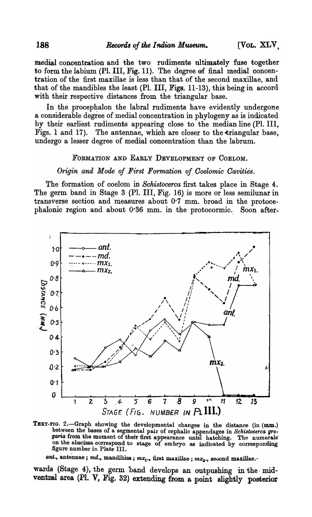medial concentration and the two rudiments ultimately fuse together to form the labium  $(Pl. III, Fig. 11)$ . The degree of final medial concentration of the first maxillae is less than that of the second maxillae, and that of the mandibles the least (PI. III, Figs. 11-13), this being in accord with their respective distances from the triangular base.

In the procephalon the labral rudiments have evidently undergone a considerable degree of medial concentration in phylogeny as is indicated by their earliest rudiments appearing close to the median line (PI. III, Figs. 1 and 17). The antennae, which are closer to the triangular base, undergo a lesser degree of medial concentration than the labrum.

#### FORMATION AND EARLY DEVELOPMENT OF COELOM.

*Origin and Mode of First Formation of Ooelomic Oavities.* 

The formation of coelom in *Schistocerca* first takes place in Stage 4. The germ band in Stage 3 (PI. III, Fig. 16) is more or less semilunar in transverse section and measures about 0'7 mm. broad in the protocephalonic region and about 0'36 mm. in the protocormic.. Soon after-



TEXT-FIG. 2.-Graph showing the developmental changes in the distance (in (mm.) between the bases of a segmental pair of cephalic appendages in Schistocerca gregaria from the moment of their first appearance until hatching. The numerals on the abscissa correspond to stage of embryo as indicated by corresponding figure number in Plate III.

ant., antennae; md., mandibles;  $mx_1$ ., first maxillae;  $mx_2$ ., second maxillae.

wards (Stage 4), the germ band develops an ootpushing in the· midventral area (Pl. V, Fig. 32) extending from a point slightly posterior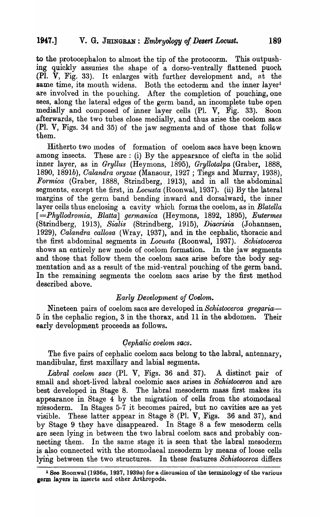to the protocephalon to almost the tip of the protocorm. This outpushing quickly assumes the shape of a dorso-ventrally flattened puoch (PI. V, Fig. 33). It enlarges with further development and, nt the same time, its mouth widens. Both the ectoderm and the inner layer<sup>1</sup> are involved in the pouching. After. the completion of pouching, one sees, along the lateral edges of the germ band, an incomplete tube open medially and composed of inner layer cells (Pl. V, Fig. 33). Soon afterwards, the two tubes close medially, and thus arise the coelom sacs (Pl. V, Figs. 34 and 35) of the jaw segments and of those that follow them.

Hitherto two modes of formation of coelom sacs have been known among insects. These are: (i) By the appearance of clefts in the solid inner layer, as in *Gryllus* (Heymons, 1895), *Gryllotalpa* (Graber, 1888, *1890, 1891b), Calandra 01'yzae* (Mansour, 1927 ; Tiegs and Murray, 1938), *Formica* (Graber, 1888, Strindberg, 1913), and in all the abdominal segments, except the first, in *Locusta* (Roonwal, 1937). (ii) By the lateral margins of the germ band bending inward and dorsalward, the inner layer cells thus enclosing a cavity which forms the coelom, as in *Blatella [=Phyllodfomia, Blatta] germanica* (Heymons, 1892, 1895), *Eutermes*  (Strindberg, 1913), *Sialis* (Strindberg, 1915), *Diacrisia* (Johannsen, 1929), *Calandra callosa* (Wray, 1937), and in the cephalic, thoracic and the first abdominal segments in *Locusta* (Roonwal, 1937). *Schistocerca*  shows an entirely new mode of coelom formation. In the jaw segments and those that follow them the coelom sacs arise before the body segmentation and as a result of the mid-ventral pouching of the germ band. In the remaining segments the coelom sacs arise by the first method described above.

## *Early Development of Ooelom.*

Nineteen pairs of coelom sacs are developed in *Schistocerca gregaria-*5 in the cephalic region, 3 in the thorax, and 11 in the abdomen. Their early development proceeds as follows.

## Qephali~ *coelom sacs.*

The five pairs of cephalic coelom sacs belong to the labral, antennary, mandibular, first maxillary and labial segments.

*Labral coelom sacs* (Pl. V, Figs. 36 and 37). A distinct pair of small and short-lived labral coelomic sacs arises in *Schistocerca* and are best developed in Stage 8. The labral mesoderm mass first makes its appearance in Stage  $4$  by the migration of cells from the stomodaeal mesoderm. In Stages 5-7 it becomes paired, but no cavities are as yet visible. These latter appear in Stage 8 (PI. V, Figs. 36 and 37), and by Stage 9 they have disappeared. In Stage 8 a few mesoderm cells are seen lying in between the two labral coelom sacs and probably connecting them. In the same stage it is seen that the labral mesoderm is also connected with the stomodaeal mesoderm by means of loose cells lying between the two structures. In these features *Schistocerca* differs

<sup>1</sup> See Roonwal (1936a, 1937, 1939a) fora discussion of the terminology of the various germ layers in insects and other Arthropods.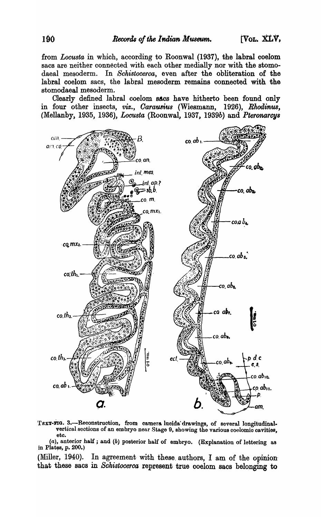from *Locusta* in which, according to Roonwal (1937), the labral coelom sacs are neither connected with each other medially nor with the stomodaeal mesoderm. In *Schistocerca,* even after the obliteration of the labral coelom sacs, the labral mesoderm remains connected with the stomodaeal mesoderm.

Clearly defined labral coelom sAcs have hitherto been found only in four other insects, *viz.*, *Carausius* (Wiesmann, 1926), *Rhodinus*, (Mellanby, 1935, 1936), *Locusta* (Roonwal, 1937, 1939b) and *Pteronarcys* 



TEXT-FIG. 3.-Reconstruction, from camera lucida drawings, of several longitudinalvertical sections of an embryo near Stage 9, showing the various coelomic cavities, etc.

 $(a)$ , anterior half; and  $(b)$  posterior half of embryo. (Explanation of lettering as in Plates, p.  $200.$ )

(Miller, 1940). In agreement with these. authors, I am of the opinion· that these sacs in *Sokistocerca* represent true coelom sacs belonging to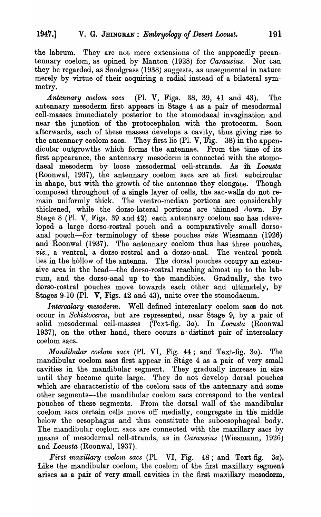the labrum. They are not mere extensions of the supposedly preantennary coelom, as opined by Manton (1928) for *Oarausius.* Nor can they be regarded, as Snodgrass (1938) suggests, as unsegmental in nature merely by virtue of their acquiring a radial instead of a bilateral symmetry.

*.A.ntennary coelom sacs* (PI. V, Figs. 38, 39, 41 and 43). The antennary mesoderm first appears in Stage 4 as a pair of mesodermal cell-masses immediately posterior to the stomodaeal invagination and near the junction of the protocephalon with the protocorm. Soon afterwards, each of these masses develops a cavity, thus giving rise to the antennary coelom sacs. They first lie  $(Pl. V, Fig. 38)$  in the appendicular outgrowths which forms the antennae. From the time of its first appearance, the antennary mesoderm is conneoted with the stomodaeal mesoderm by loose mesodermal cell-strands. As iii. *Locusta*  (Roonwal, 1937), the antennary coelom sacs are at first subcircular in shape, but with the growth of the antennae they elongate. Though composed throughout of a single layer of cells, the sac-walls do not remain uniformly thick. The ventro-median portions are considerably thickened, while the dorso-lateral portions are thinned  $A$ own. By Stage 8 (Pl. V, Figs. 39 and 42) each antennary coelom sac has ideveloped a large dorso-rostral pouch and a comparatively small dorsoanal pouch-for terminology of these pouches *vide* Wiesmann (1926) and Roonwal (1937). The antennary coelom thus has three pouches, . *viz.,* a ventral, a dorso-rostral and a dorso-anal. The ventral pouch lies in the hollow of the antenna. The dorsal pouches occupy an extensive area in the head—the dorso-rostral reaching almost up to the labrum, and the dorso-anal up to the mandibles. Gradually, the two dorso-rostral pouches move towards each other and ultimately, by Stages 9-10 (PI. V, Figs. 42 and 43), unite over the stomodaeum.

*Intercalary mesoderm.* Well defined intercalary coelom sacs do not occur in *Schistocerca*, but are represented, near Stage 9, by a pair of solid mesodermal cell-masses (Text-fig. *3a).* In *Locusta* (Roonwal 1937), on the other hand, there occurs a~ distinct pair of intercalary coelom sacs.

*Mandibular coelom sacs* (PI. VI, Fig. 44; and Text-fig. *3a).* The mandibular coelom sacs first appear in Stage 4 as a pair of very small cavities in the mandibular segment. They gradually increase in size until they become quite large. They do not develop dorsal pouches which are characteristic of the coelom sacs of the antennary and some other segments—the mandibular coelom sacs correspond to the ventral pouches of these segments. From the dorsal wall of the mandibular coelom sacs certain cells move off medially, congregate in the middle below the oesophagus and thus constitute the suboesophageal body. The mandibular coclom sacs are connected with the maxillary sacs by means of mesodermal cell-strands, as in *Carausius* (Wiesmann, 1926) and *Locusta* (Roonwal, 1937).

First maxillary coelom sacs (Pl. VI, Fig. 48; and Text-fig. 3a). Like the mandibular coelom, the coelom of the first maxillary segment arises as a pair of very small cavities in the first maxillary mesoderm.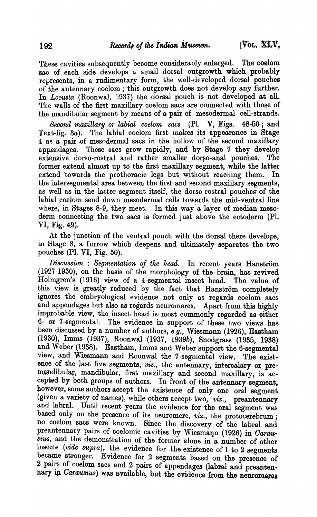These cavities subsequently become considerably enlarged. The coelom sac of each side develops a small dorsal outgrowth which probably represents, in a rudimentary form, the well-developed dorsal pouches of the antennary coelom; this outgrowth does not develop any further. In *Locusta* (Roonwal, 1937) the dorsal pouch is not developed at all. The wails of the first maxillary coelom sacs are connected with those of the mandibular segment by means of a pair of mesodermal cell-strands.

*Second maxillary* or *labial coelom sacs* (PI. V, Figs. 48-50; and Text-fig. 3a). The labial coelom first makes its appearance in Stage 4 as a pair of mesodermal sacs in the hollow of the second maxillary appendages. These sacs grow rapidly, and by Stage 7 they develop extensive dorso-rostral and rather smaller dorso-anal pouches. The former extend almost up to the first maxillary segment, while the latter extend towards the prothoracic legs but without reaching them. In the intersegmental area between the first and second maxillary segments, as well as in the latter segment itself, the dorso-rostral pouches of the labial coelom send down mesodermal cells towards the mid-ventral line where, in Stages 8-9, they meet. In this way a layer of median mesoderm connecting the two sacs is formed just above the ectoderm (PI. VI, Fig.  $49$ ).

At the junction of the ventral pouch with the dorsal there develops, in Stage 8, a furrow which deepens and ultimately separates the two pouches (PI. VI, Fig. 50). .

*Discussion: Segmentation of the* head. In recent years Hanstrom (1927-1930), on the basis of the morphology of the brain, has revived Holmgren's (1916) view of a 4-segmental insect head. The value of this view is greatly reduced by the fact that Hanström completely ignores the embryological evidence not only as regards coelom sacs and appendages but also as regards neuromeres. Apart from this highly improbable view, the insect head is most commonly regarded as either 6- or 7 -segmental. The evidence in support of these two views has been discussed by a number of authors, *e.g.,* Wiesmann (1926), Eastham (1930), Imms (1937), Roonwal (1937, *1939b),* Snodgrass (1935, 1938) and Weber (1938). Eastham, Imms and Weber support the 6-segmental view, and Wiesmann and Roonwal the 7-segmental view. The existence of the last five segments, *viz.*, the antennary, intercalary or premandibular, mandibular, first maxillary and second maxillary, is accepted by both groups of authors. In front of the antennary segment, however, some authors accept the existence of only one oral segment (given a variety of names), while others accept two, *viz.*, preantennary and labral. Until recent years the evidence for the oral segment was based only on the presence of its neuromere, *viz.,* the protocerebrum; no coelom sacs were known. Since the discovery of the labral and preantennary pairs of coelomic cavities by Wiesmann (1926) in Carau $sius$ , and the demonstration of the former alone in a number of other insects *(vide supra)*, the evidence for the existence of 1 to 2 segments became stronger. Evidence for 2 segments based on the presence of 2 pairs of coelom sacs and 2 pairs of appendages (labral and preantennary in Carausius) was available, but the evidence from the neuromeres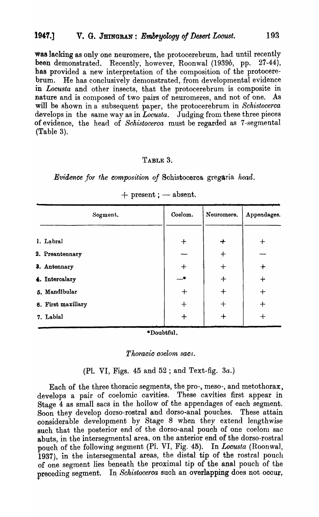was lacking as only one neuromere, the protocerebrum, had until recently<br>been demonstrated. Recently, however, Roonwal (1939b, pp. 27-44), been demonstrated. Recently, however, Roonwal (1939b, pp. has provided a new interpretation of the composition of the protocerebrum. He has conclusively demonstrated, from developmental evidence in *Locusta* and other insects, that the protocerebrum is composite in nature and is composed of two pairs of neuromeres, and not of one. As will be shown in a subsequent paper, the protocerebrum in *Schistocerca*  develops in the same way as in  $Locusta$ . Judging from these three pieces of evidence, the head of *Schistocerca* must be regarded as 7 -segmental (Table 3).

## TABLE 3.

*Evidence for the composition of Schistocerca gregaria head.* 

|              | Segment.           | Coelom.       | Neuromere. | Appendages. |
|--------------|--------------------|---------------|------------|-------------|
| 1. Labral    |                    | $\ddot{}$     | $\div$     | $\bm{+}$    |
|              | 2. Preantennary    |               | $\pm$      |             |
| 8. Antennary |                    | $+$           | $+$        | $\div$      |
|              | 4. Intercalary     | $\rightarrow$ | $\div$     | $\div$      |
|              | 5. Mandibular      | $+$           | $\bm{+}$   | $+$         |
|              | 6. First maxillary | $\bm{+}$      | $\bm{+}$   | $+$         |
| 7. Labial    |                    | $\div$        |            | $\bm{+}$    |

| $+$ present ; - absent. |  |
|-------------------------|--|
|                         |  |

\*Doubtful.

*Thoracic coelom sac).* 

(PI. VI, Figs. 45 and 52 ; and Text-fig. *3a.)* 

Each of the three thoracic segments, the pro-, meso-, and metothorax, develops a pair of coelomic cavities. These cavities first appear in Stage 4 as small sacs in the hollow of the appendages of each segment. Soon they develop dorso-rostral and dorso-anal pouches. These attain oonsiderable development by Stage 8 when they extend lengthwise such that the posterior end of the dorso-anal pouch of one coelon sac abuts, in the intersegmental area, on the anterior end of the dorso-rostral pouch of the following segment (PI. VI, Fig. 45). In *Locusta* (Roonwal, 1937), in the intersegmental areas, the distal tip of the rostral pouch of one segment lies beneath the proximal tip of the anal pouch of the preceding segment. In *Schistocerca* such an overlapping does not occur,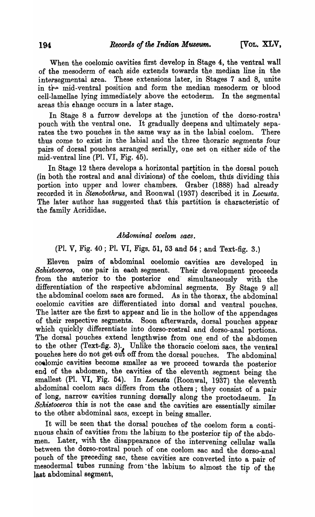When the coelomic cavities first develop in Stage 4, the ventral wall of the mesoderm of each side extends towards the. median line in the intersegmental area. These extensions later, in Stages 7 and 8, unite in tre mid-ventral position and form the median mesoderm or blood cell-lamellae lying immediately above the ectoderm. In the segmental areas this ehange occurs in a later stage.

In Stage 8 a furrow develops at the junction of the dorso-rostra' pouch with the ventral one. It gradually deepens and ultimately separates the two pouches in the same way as in the labial coelom. There thus come to exist in the labial and the three thoraric segments four pairs of dorsal pouches arranged serially, one set on either side of the mid-ventral line (PI. VI, Fig. 45).

In Stage 12 there develops a horizontal partition in the dorsal pouch (in both the rostral and anal divisions) of the coelom, thus dividing this portion into upper and lower chambers. Graber (1888) had already recorded it in *Stenobothrus,* and Roonwal (1937) described it in *Locusta.*  The later author has suggested that this partition is characteristic of the family Acrididae.

## *Abdominal coelom sacs.*

## (PI. V, Fig. 40 ; PI. VI, Figs. 51, 53 and 54 ; and Text-fig. 3.)

Eleven pairs of abdominal ooelomio cavities are developed in *Schistocerca,* one pair in eaoh segment. Their development proceeds from the anterior to the posterior end simultaneously with the differentiation of the respective abdominal segments. By Stage 9 all the abdominal coelom sacs are formed. As in the thorax, the abdominal coelomic cavities are differentiated into dorsal and ventral pouches. The latter are the first to appear and lie in the hollow of the appendages of their respective segmehts. Soon afterwards, dorsal pouches appear which quickly differentiate into dorso-rostral and dorso-anal portions. The dorsal pouches extend lengthwise from one end of the abdomen to the other (Text-fig. 3). Unlike the thoracic coelom sacs, the ventral pouches here do not get out off from the dorsal pouches. The abdominal coelomic ca vities become smaller as we proceed towards the posterior end of the abdomen, the cavities of the eleventh segment being the smallest (PI. VI, Fig. 54). In *Locusta* (Roonwal, 1937) the eleventh abdominal coelom sacs differs from the others; they consist of a pair of long, narrow cavities running dorsally along the proctodaeum. In *Schistocerca* this is not the case and the cavities are essentially similar to the other abdominal sacs, except in being smaller.

It will be seen that the dorsal pouches of the coelom form a continuous chain of cavities from the labium to the posterior tip of the abdomen. Later, with the disappearance of the intervening cellular walls between the dorso-rostral pouch of one coelom sac and the dorso-anal pouch of the preceding sac, these cavities are converted into a pair of mesodermal tubes running from the labium to almost the tip of the last abdominal segment.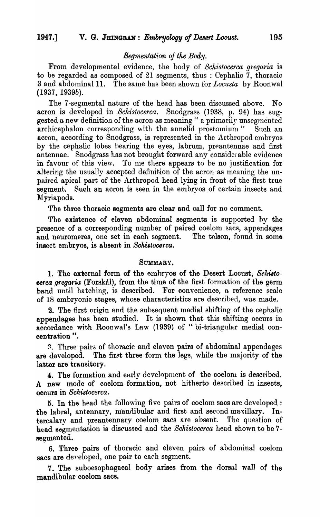## *Segmentation of the Body.*

From developmental evidence, the body of *Schistocerca gregaria* is to be regarded as composed of 21 segments, thus: Cephalic  $7$ , thoracic 3 and abdominal 11. The same has been shown for *Locusta* by Roonwal *(1937, 1939b).* 

The 7-segmental nature of the head has been discussed above. No acron is developed in *Schistocerca*. Snodgrass (1938, p. 94) has suggested a new definition of the acron as meaning " a primarily unsegmented archicephalon corresponding with the annelid prostomium" Such an acron, according to Snodgrass, is represented in the Arthropod embryos by the cephalic lobes bearing the eyes, labrum, preantennae and first antennae. Snodgrass has not brought forward any considerable evidence in favour of this view. To me there appears to be no justification for altering the usually accepted definition of the acron as meaning the unpaired apical part of the Arthropod head lying in front of the first true segment. Such an acron is seen in the embryos of certain insects and Myriapods.

The three thoraoio segments are clear and call for no comment.

The existence of eleven abdominal segments is supported by the presence of a corresponding number of paired coelom sacs, appendages and neuromeres, one set in each segment. The telson, found in some insect embryos, is absent in *Schistocerca*.

## SUMMARY.

1. The external form of the embryos of the Desert Locust, Schisto*eerca gregaria* (Forskal), from the time of the first formation of the germ band until hatching, is described. For convenience, a reference scale of 18 embryonic stages, whose characteristics are described, was made.

2. The first origin and the subsequent medial shifting of the cephalic appendages has been studied. It is shown that this shifting occurs in accordance with Roonwal's Law (1939) of "bi-triangular medial concentration ".

3. Three pairs of thoracic and eleven pairs of abdominal appendages are developed. The first three form the legs, while the majority of the latter are transitory.

4. The formation and early development of the coelom is described. .A new mode of ooelom formation, not hitherto described in inseots, occurs in *Schistocerca.* 

5. In the head the following five pairs of coelom sacs are developed: the labral, antennary, mandibular and first and second maxillary. Intercalary and preantennary coelom sacs are absent. The question of head segmentation is discussed and the *Schistocerca* head shown to be 7segmented.

6. Three pairs of thoracic and eleven pairs of abdominal coelom sacs are developed, one pair to each segment.

7. The suboesophagaeal body arises from the dorsal wall of the mandibular coelom sacs.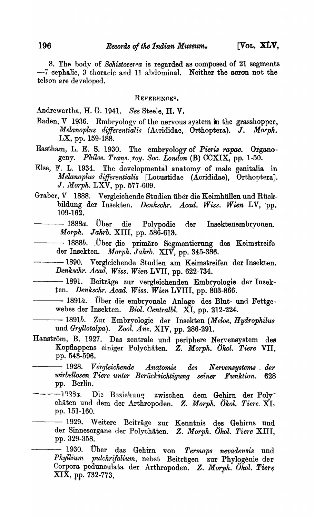8. The body of Schistocerca is regarded as composed of 21 segments --i cephalic, 3 thoracic and 11 ahdominal. Neither the acron not the telson are developed.

REFERENCES.

Andrewartha, H. G. 1941. *See* Steele, H. V.

- Baden,  $V$  1936. Embryology of the nervous system in the grasshopper, Melanoplus differentialis (Acrididae, Orthoptera). J. Morph.  $LX$ , pp. 159-188.
- Eastham, L. E. S. 1930. The embryology of *Pieris rapae.* Organogeny. *Philos. Trans. roy. Soc. London* (B) CCXIX, pp. 1-50.
- Else, F. L. 1934. The developmental anatomy of male genitalia in *Melanoplus differentialis* [Locustidae (Acrididae), Orthoptera]. *J. Morph.* LXV, pp. 577-609.
- Graber, V 1888. Vergleichende Studien iiber die Keimhiillen und Riickbildung der Insekten. *Denkschr.* A *cad. Wiss. Wien* LV, 'pp. -- *1888a.* Dber die Polyp odie der Insektenembryonen. 109-162.
- *Morph. Jahrb.* XIII, pp. 586-613.
	- *1888b.* \_Dber die primare Segmentierung des Keimstreife der Insekten. *Morph. Jahrb.* XIV, pp. 345-386.
- -1890. Vergleichende Studien am Keimstreifen der Insekten. *Denlcschr. Acad. Wiss. Wien* LVII, pp. 622-734. --- 1891. Beitrage zur vergleichenden Embryologie der Insek-
- ten. *Denkschr. Acad. Wiss. Wien* LVIII, pp. 803-866. -- 1891. Beiträge zur vergleichenden Embryologie der Insek-<br>en. *Denkschr. Acad. Wiss. Wien* LVIII, pp. 803-866.<br>-- 1891*a*. Über die embryonale Anlage des Blut- und Fettge-
- webes der Insekten. *Biol. Oentralbl.* XI, pp. 212-224. --- *1891b.* Zur Embryologie der Insekten *(Meloe, Hydrophilus* 
	- und *Gryllotalpa*). Zool. Anz. XIV, pp. 286-291.
- Hanström, B. 1927. Das zentrale und periphere Nervensystem des KopHappens einiger Polychaten. *Z. Morph. Okol. Tiere* VII, pp. 543-596.
- --- 1928. *Vergleichende Anatomie des Nervensystems der wirbellosen. Tiere unte-r Berucksichtigung seiner Funktion. 628*  pp. Berlin.
- -1928z. Die Beziehung zwischen dem Gehirn der Polychiiten und dem der Arthropoden. Z. *Morph. Olcol. Tiere.* XI, pp. 151-160.
	- 1929. Weitere Beiträge zur Kenntnis des Gehirns und der Sinnesorgane der Polychaten. *Z. Morph. Olcol. Tiere* XIII, pp. 329-358.
		- 1930. Dber das Gehirn von *Termops nevadensis* und *Phyllium pulch1'ifolium,* nebst Beitragen zur Phylogenie der Corpora pedunculata der Arthropoden. Z. Morph. Ökol. Tiere XIX, pp. 732-773, .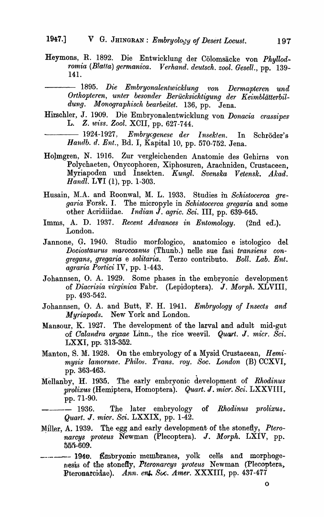Heymons, R. 1892. Die Entwicklung der Cölomsäcke von Phyllod $romia$  (Blatta) germanica. Verhand. deutsch. zool. Gesell., pp. 139-141.

1895. *Die Embryonalentwicklung von Dermapteren una*  Orthopteren, unter besonder Berücksichtigung der Keimblätterbil*dung. Monographisclt bearbeitet.* 136, pp. Jena.

Rirschler, J. 1909. Die Embryonalentwicklung von *Donacia crassipes-*L.. *Z. twiss. Zool.* XCII, pp. 627-744.

**L. Z.** wiss. Zool. XCII, pp. 627-744.<br>
1924-1927. *Embrycgenese der Insekten*. In Schröder's *Handb. d. Ent., Bd. I, Kapital 10, pp. 570-752. Jena.* 

- Holmgren, N. 1916. Zur vergleichenden Anatomie des Gehirns von Polychaeten, Onycophoren, Xiphosuren, Arachniden, Crustaceen, Myriapoden und Insekten. *K ungl. Svenska Vetensk. Akad. Handl.* **LVI** (1), pp. 1-303.
- Husain, M.A. and Roonwal, M. L. 1933. Studies in *Schistocerca gre*garia Forsk. I. The micropyle in *Schistocerca gregaria* and some 'other Acridiidae. *Indian* J. *agric. Sci.* III, pp. 639-645.
- Imms, A. D. 1937. *Recent Advances in Entomology.* (2nd ed.). London.
- Jannone, G. 1940. Studio morfologico, anatomico e istologico del *Dociostaurus rnaroccanus* (Thunb.) nelle sue fasi *transiens congregans, gttegal'ia* e *solitaria.* Terzo contributo. *Boll. Lab. Ent. agraria Portici* IV, pp. 1-443.
- Johannsen, O. A. 1929. Some phases in the embryonic development of *Diacrisia virginica* Fabr. (Lepidoptera). J. Morph. XLVIII, pp. 493-542.
- Johannsen, O. A. and Butt, F. H. 1941. *Embryology of Insects and' Myriapods.* New York and London.
- Mansour, K. 1927. The development of the larval and adult mid-gut 'of *Calandra oryzae* Linn., the rice weevil. *Quart.* J. *micr. Sci.*  LXXI, pp. 313-352.
- Manton, S. M. 1928. On the embryology of a Mysid Crustaeean, *Hemimysis lamornae. Philos. Trans. roy. Soc. London (B)* CCXVI, pp. 363-463.
- Mellanby, H. 1935. The early embryonic development of *Rhodinus grolixus* (Hemiptera, Homoptera). *Quart. J. micr. Sci.* LXXVIII, pp.71-90.

 $-$  1936. The later embryology of *Rhodinus prolixus*. *Quart. J. micr. Sci.* LXXIX, pp. 1-42.

Miller, A. 1939. The egg and early development of the stonefly, *Ptero*narcys proteus Newman (Plecoptera). J. Morph. LXIV, pp. 55fi-609.

--- 1940. Embryonic membranes, yolk cells and morphogenesis of the stonefIy, *Pteronarcys proteus* Newman (Plecoptera,. Pteronarcidae). Ann. ent. Soc. Amer. XXXIII, pp. 437-477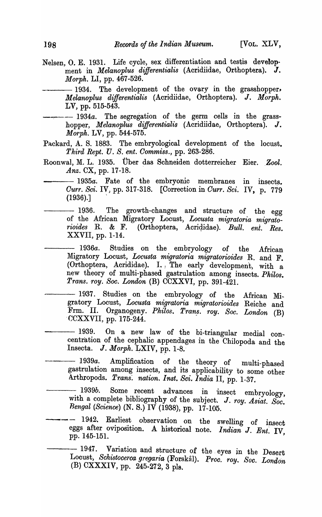Nelsen, O. E. 1931. Life cycle, sex differentiation and testis develop-'ment in *Melanoplus differentialis* (Acridiidae, Orthoptera). J. *Morph.* LI, pp. 467-526.

-1934. The development of the ovary in the grasshopper. *Melanoplus differentialis* (Acridiidae, Orthoptera). J. *Morpk.*  LV, pp. 515-543.

--:---- *1934a.* The segregation of the germ cells in the grasshopper, *Melanoplus dijferentialis* (Acridiidae, Orthoptera). J. *Morph.* LV, pp. 544-575.

Packard, A. S. 1883. The embryological development of the locust. *Third Rept.* U. *S. ent. Oommiss.,* pp. 263-286.

Roonwal, M. L. 1935. Über das Schneiden dotterreicher Eier. Zool. Anz. CX, pp. 17-18.

-1935a. Fate of the embryonic membranes in insects. *Ourr. Sci.* IV) pp. 317-318. [Correction in *Ourr. Sci.* IV, p. 779  $(1936).$ 

 $-1936.$  The growth-changes and structure of the egg of the Mrican Migratory Locust, *Locusta migratoria migratorio ides* R. & F. (Orthoptera, Acrigidae). *Bull. ent. Res.*  XXVII, pp. 1-14.

*1936a.* Studies on the embryology of the Mrican Migratory Locust, *Locusta migratoria migratorioides* R. and F. (Orthoptera, Acrididae). I., The early development, with a new theory of multi-phased gastrulation among insects. *Philos. Trans. roy. Soc. London* (B) CCXXVI, pp. 391-421.

- -1937. Studies on the embryology of the African Migra tory Locust, *Locusta migratoria migratorioides* Reiche and Frm. II. Organogeny. *Philos. Tran\_s. roy. Soc. London* (B) -CCXXVII, pp. 175-244.
- -1939. On a new law of the bi-triangular medial concentration of the cephalic appendages in the Chilopoda and the Insecta. *J. Morph.* LXIV, pp. 1-8.
	- *1939a.* Amplification of the theory of multi-phased gastrulation among insects, and its applicability to some other Arthropods. *Trans. nation. Inst. Sci. India* II, pp. 1-37.
- 1939*b*. Some recent advances in insect embryology, with a complete bibliography of the subject. J. roy. Asiat. Soc. *Bengal (Science)* (N. S.) IV (1938), pp. 17-105.
- 1942. Earliest observation on the swelling of insect eggs after oviposition. A historical note. *Indian* J. *Ent:* IV, pp. 145-151.

 $-1947.$  Variation and structure of the eyes in the Desert Locust, *Schistocerca gregaria* (Forskål). Proc. roy. Soc. London (B) CXXXIV, pp.  $245-272$ , 3 pls.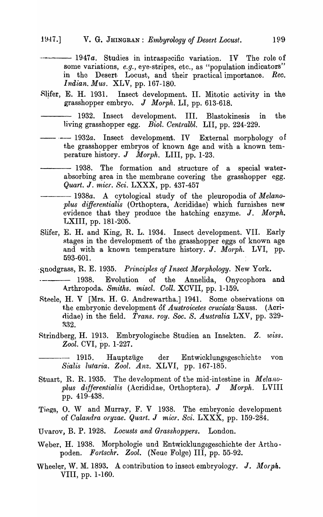- --- 1947a. Studies in intraspecific variation. IV The role of some variations, *e.g.*, eye-stripes, etc., as "population indicators" in the Desert Locust, and their practical importance. Rec. *Indian. Mus. XLV, pp. 167-180.*
- Slifer, E. H. 1931. Insect development. II. Mitotic activity in the grasshopper embryo. J *Morph.* LI, pp. 613-618.
- 1932. Insect development. III. Blastokinesis in the living grasshopper egg. *Biol. Centralbl.* LII, pp. 224-229.
- --- 1932a. Insect development. IV External morphology of the grasshopper embryos of known age and with a known temperature history. J *Morph.* LIII, pp. 1-23.
- -1938. The formation and structure of a special waterabsorbing area in the membrane covering the grasshopper egg. *Quart. J. micr. Sci. LXXX, pp. 437-457*
- Quart. J. micr. Sci. LXXX, pp. 437-457<br>
1938a. A cytological study of the pleuropodia of *Melano*plus differentialis (Orthoptera, Acrididae) which furnishes new evidence that they produce the hatching enzyme. J. *Morph.*  LXIII, pp. 181-205.
- Slifer, E. H. and King, R. L. 1934. Insect development. VII. Early stages in the development of the grasshopper eggs of known age and with a known temperature history. J. Morph. LVI, pp. 593-601.
- 'Snodgrass, R. E. 1935. *Principles of Insect Morphology*. New York.
- 1938. Evolution of the Annelida, Onycophora and Arthropoda-. *Smiths. miscl. Coll.* XCVII, pp. 1-159.
- Rteele, H. V [Mrs. H. G. Andrewartha.] 1941. Some observations on the embryonic development of *Austroicetes cruciata-Sauss.* (Acrirlidae) in the field. *Trans. roy. Soc. S. Australia* LXV, pp. 329- ~S2.
- Rtrindberg, H. 1913. Embryologische Studien an Insekten. Z. . *WbSS. Zool.* CVI, pp. 1-227.
- 1915. Hauptziige der Entwicklungsgeschichte von *Sial'is lutaria. Zool. Anz.* XLVI, pp. 167-185.
- Stuart, R. R. 1935. The development of the mid-intestine in *Melano* $p$ lus differentialis (Acrididae, Orthoptera). *J Morph.* LVIII pp. 419-438.
- Tiegs, O. W and Murray, F. V 1938. The embryonic development of *Calandra oryzae. Quart. J micr. Sci.* LXXX, pp. 159-284.
- Uvarov, B. P. 1928. *Locusts and Grasshoppers.* London.
- Weber, H. 1938. Morphologie und Entwicklungsgeschichte der Arthopoden. *Fortschr. Zool.* (Neue Folge) III, pp. 55-92.
- Wheeler, W. M. 1893. A contribution to insect embryology. J. Morph. VIII, pp. 1-160.